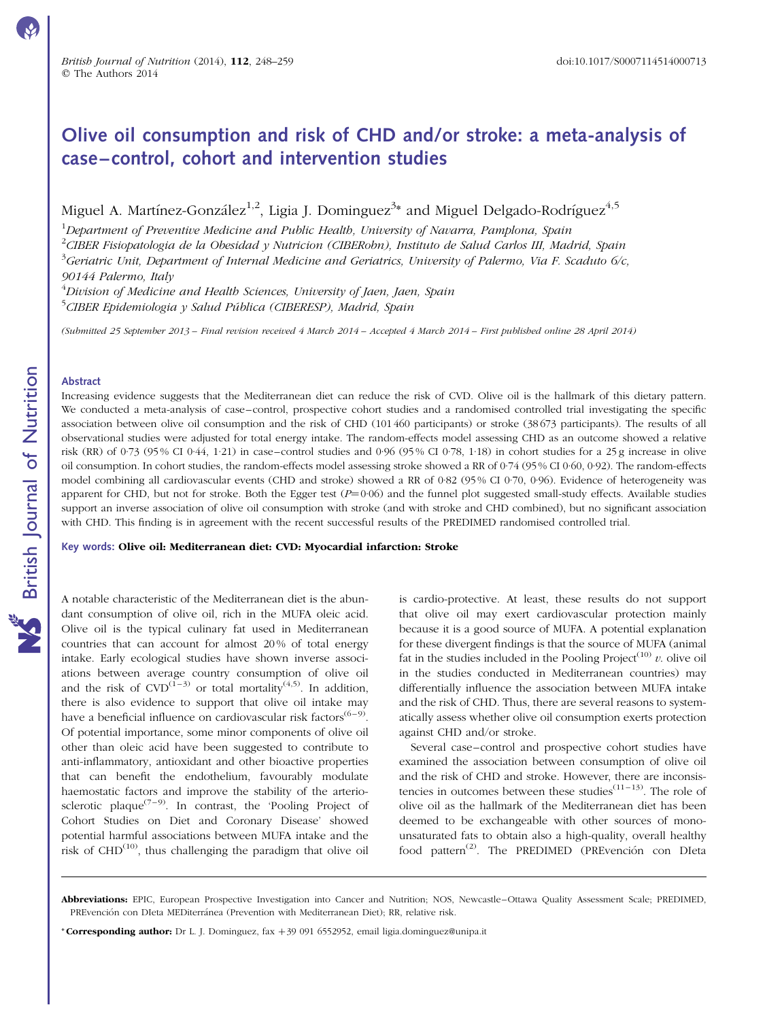# Olive oil consumption and risk of CHD and/or stroke: a meta-analysis of case –control, cohort and intervention studies

Miguel A. Martínez-González<sup>1,2</sup>, Ligia J. Dominguez<sup>3</sup>\* and Miguel Delgado-Rodríguez<sup>4,5</sup>

 $^1$ Department of Preventive Medicine and Public Health, University of Navarra, Pamplona, Spain  $^{2}$ CIBER Fisiopatologia de la Obesidad y Nutricion (CIBERobn), Instituto de Salud Carlos III, Madrid, Spain  $^3$ Geriatric Unit, Department of Internal Medicine and Geriatrics, University of Palermo, Via F. Scaduto 6/c, 90144 Palermo, Italy

 $^4$ Division of Medicine and Health Sciences, University of Jaen, Jaen, Spain <sup>5</sup>CIBER Epidemiologia y Salud Pública (CIBERESP), Madrid, Spain

(Submitted 25 September 2013 – Final revision received 4 March 2014 – Accepted 4 March 2014 – First published online 28 April 2014)

#### Abstract

Increasing evidence suggests that the Mediterranean diet can reduce the risk of CVD. Olive oil is the hallmark of this dietary pattern. We conducted a meta-analysis of case–control, prospective cohort studies and a randomised controlled trial investigating the specific association between olive oil consumption and the risk of CHD (101 460 participants) or stroke (38 673 participants). The results of all observational studies were adjusted for total energy intake. The random-effects model assessing CHD as an outcome showed a relative risk (RR) of 0·73 (95 % CI 0·44, 1·21) in case–control studies and 0·96 (95 % CI 0·78, 1·18) in cohort studies for a 25 g increase in olive oil consumption. In cohort studies, the random-effects model assessing stroke showed a RR of 0·74 (95 % CI 0·60, 0·92). The random-effects model combining all cardiovascular events (CHD and stroke) showed a RR of 0·82 (95% CI 0·70, 0·96). Evidence of heterogeneity was apparent for CHD, but not for stroke. Both the Egger test  $(P=0.06)$  and the funnel plot suggested small-study effects. Available studies support an inverse association of olive oil consumption with stroke (and with stroke and CHD combined), but no significant association with CHD. This finding is in agreement with the recent successful results of the PREDIMED randomised controlled trial.

Key words: Olive oil: Mediterranean diet: CVD: Myocardial infarction: Stroke

A notable characteristic of the Mediterranean diet is the abundant consumption of olive oil, rich in the MUFA oleic acid. Olive oil is the typical culinary fat used in Mediterranean countries that can account for almost 20 % of total energy intake. Early ecological studies have shown inverse associations between average country consumption of olive oil and the risk of  $CVD^{(1-3)}$  or total mortality<sup>(4,5)</sup>. In addition, there is also evidence to support that olive oil intake may have a beneficial influence on cardiovascular risk factors<sup>(6–9)</sup>. Of potential importance, some minor components of olive oil other than oleic acid have been suggested to contribute to anti-inflammatory, antioxidant and other bioactive properties that can benefit the endothelium, favourably modulate haemostatic factors and improve the stability of the arteriosclerotic plaque<sup>(7–9)</sup>. In contrast, the 'Pooling Project of Cohort Studies on Diet and Coronary Disease' showed potential harmful associations between MUFA intake and the risk of  $CHD<sup>(10)</sup>$ , thus challenging the paradigm that olive oil is cardio-protective. At least, these results do not support that olive oil may exert cardiovascular protection mainly because it is a good source of MUFA. A potential explanation for these divergent findings is that the source of MUFA (animal fat in the studies included in the Pooling Project<sup>(10)</sup>  $v$ . olive oil in the studies conducted in Mediterranean countries) may differentially influence the association between MUFA intake and the risk of CHD. Thus, there are several reasons to systematically assess whether olive oil consumption exerts protection against CHD and/or stroke.

Several case–control and prospective cohort studies have examined the association between consumption of olive oil and the risk of CHD and stroke. However, there are inconsistencies in outcomes between these studies<sup> $(11-13)$ </sup>. The role of olive oil as the hallmark of the Mediterranean diet has been deemed to be exchangeable with other sources of monounsaturated fats to obtain also a high-quality, overall healthy food pattern<sup>(2)</sup>. The PREDIMED (PREvención con DIeta

\* **Corresponding author:** Dr L. J. Dominguez, fax  $+39$  091 6552952, email ligia.dominguez@unipa.it

Abbreviations: EPIC, European Prospective Investigation into Cancer and Nutrition; NOS, Newcastle–Ottawa Quality Assessment Scale; PREDIMED, PREvención con DIeta MEDiterránea (Prevention with Mediterranean Diet); RR, relative risk.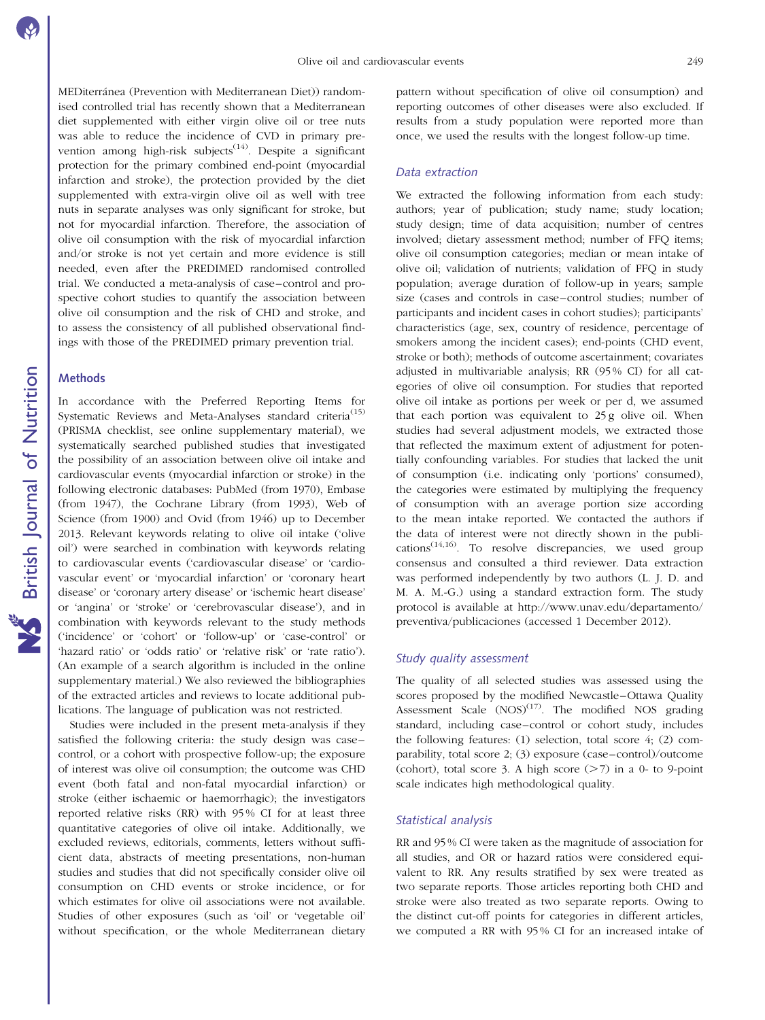MEDiterránea (Prevention with Mediterranean Diet)) randomised controlled trial has recently shown that a Mediterranean diet supplemented with either virgin olive oil or tree nuts was able to reduce the incidence of CVD in primary prevention among high-risk subjects<sup> $(14)$ </sup>. Despite a significant protection for the primary combined end-point (myocardial infarction and stroke), the protection provided by the diet supplemented with extra-virgin olive oil as well with tree nuts in separate analyses was only significant for stroke, but not for myocardial infarction. Therefore, the association of olive oil consumption with the risk of myocardial infarction and/or stroke is not yet certain and more evidence is still needed, even after the PREDIMED randomised controlled trial. We conducted a meta-analysis of case–control and prospective cohort studies to quantify the association between olive oil consumption and the risk of CHD and stroke, and to assess the consistency of all published observational findings with those of the PREDIMED primary prevention trial.

#### **Methods**

In accordance with the Preferred Reporting Items for Systematic Reviews and Meta-Analyses standard criteria<sup>(15)</sup> (PRISMA checklist, see online supplementary material), we systematically searched published studies that investigated the possibility of an association between olive oil intake and cardiovascular events (myocardial infarction or stroke) in the following electronic databases: PubMed (from 1970), Embase (from 1947), the Cochrane Library (from 1993), Web of Science (from 1900) and Ovid (from 1946) up to December 2013. Relevant keywords relating to olive oil intake ('olive oil') were searched in combination with keywords relating to cardiovascular events ('cardiovascular disease' or 'cardiovascular event' or 'myocardial infarction' or 'coronary heart disease' or 'coronary artery disease' or 'ischemic heart disease' or 'angina' or 'stroke' or 'cerebrovascular disease'), and in combination with keywords relevant to the study methods ('incidence' or 'cohort' or 'follow-up' or 'case-control' or 'hazard ratio' or 'odds ratio' or 'relative risk' or 'rate ratio'). (An example of a search algorithm is included in the online supplementary material.) We also reviewed the bibliographies of the extracted articles and reviews to locate additional publications. The language of publication was not restricted.

Studies were included in the present meta-analysis if they satisfied the following criteria: the study design was case– control, or a cohort with prospective follow-up; the exposure of interest was olive oil consumption; the outcome was CHD event (both fatal and non-fatal myocardial infarction) or stroke (either ischaemic or haemorrhagic); the investigators reported relative risks (RR) with 95 % CI for at least three quantitative categories of olive oil intake. Additionally, we excluded reviews, editorials, comments, letters without sufficient data, abstracts of meeting presentations, non-human studies and studies that did not specifically consider olive oil consumption on CHD events or stroke incidence, or for which estimates for olive oil associations were not available. Studies of other exposures (such as 'oil' or 'vegetable oil' without specification, or the whole Mediterranean dietary

pattern without specification of olive oil consumption) and reporting outcomes of other diseases were also excluded. If results from a study population were reported more than once, we used the results with the longest follow-up time.

#### Data extraction

We extracted the following information from each study: authors; year of publication; study name; study location; study design; time of data acquisition; number of centres involved; dietary assessment method; number of FFQ items; olive oil consumption categories; median or mean intake of olive oil; validation of nutrients; validation of FFQ in study population; average duration of follow-up in years; sample size (cases and controls in case–control studies; number of participants and incident cases in cohort studies); participants' characteristics (age, sex, country of residence, percentage of smokers among the incident cases); end-points (CHD event, stroke or both); methods of outcome ascertainment; covariates adjusted in multivariable analysis; RR (95 % CI) for all categories of olive oil consumption. For studies that reported olive oil intake as portions per week or per d, we assumed that each portion was equivalent to 25 g olive oil. When studies had several adjustment models, we extracted those that reflected the maximum extent of adjustment for potentially confounding variables. For studies that lacked the unit of consumption (i.e. indicating only 'portions' consumed), the categories were estimated by multiplying the frequency of consumption with an average portion size according to the mean intake reported. We contacted the authors if the data of interest were not directly shown in the publications<sup>(14,16)</sup>. To resolve discrepancies, we used group consensus and consulted a third reviewer. Data extraction was performed independently by two authors (L. J. D. and M. A. M.-G.) using a standard extraction form. The study protocol is available at http://www.unav.edu/departamento/ preventiva/publicaciones (accessed 1 December 2012).

#### Study quality assessment

The quality of all selected studies was assessed using the scores proposed by the modified Newcastle–Ottawa Quality Assessment Scale  $(NOS)^{(17)}$ . The modified NOS grading standard, including case–control or cohort study, includes the following features: (1) selection, total score 4; (2) comparability, total score 2; (3) exposure (case–control)/outcome (cohort), total score 3. A high score  $(27)$  in a 0- to 9-point scale indicates high methodological quality.

#### Statistical analysis

RR and 95 % CI were taken as the magnitude of association for all studies, and OR or hazard ratios were considered equivalent to RR. Any results stratified by sex were treated as two separate reports. Those articles reporting both CHD and stroke were also treated as two separate reports. Owing to the distinct cut-off points for categories in different articles, we computed a RR with 95 % CI for an increased intake of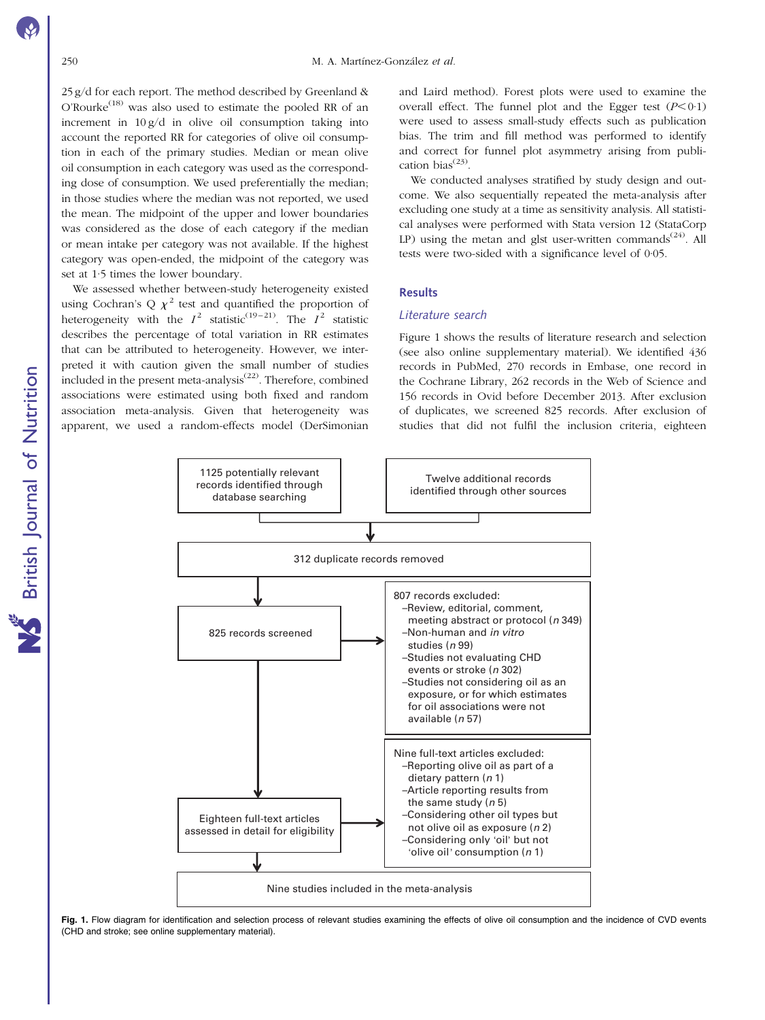<span id="page-2-0"></span>25 g/d for each report. The method described by Greenland & O'Rourke<sup>(18)</sup> was also used to estimate the pooled RR of an increment in  $10 g/d$  in olive oil consumption taking into account the reported RR for categories of olive oil consumption in each of the primary studies. Median or mean olive oil consumption in each category was used as the corresponding dose of consumption. We used preferentially the median; in those studies where the median was not reported, we used the mean. The midpoint of the upper and lower boundaries was considered as the dose of each category if the median or mean intake per category was not available. If the highest category was open-ended, the midpoint of the category was set at 1·5 times the lower boundary.

We assessed whether between-study heterogeneity existed using Cochran's Q  $\chi^2$  test and quantified the proportion of heterogeneity with the  $I^2$  statistic<sup>(19–21)</sup>. The  $I^2$  statistic describes the percentage of total variation in RR estimates that can be attributed to heterogeneity. However, we interpreted it with caution given the small number of studies included in the present meta-analysis<sup> $(22)$ </sup>. Therefore, combined associations were estimated using both fixed and random association meta-analysis. Given that heterogeneity was apparent, we used a random-effects model (DerSimonian

and Laird method). Forest plots were used to examine the overall effect. The funnel plot and the Egger test  $(P<0.1)$ were used to assess small-study effects such as publication bias. The trim and fill method was performed to identify and correct for funnel plot asymmetry arising from publication bias<sup>(23)</sup>.

We conducted analyses stratified by study design and outcome. We also sequentially repeated the meta-analysis after excluding one study at a time as sensitivity analysis. All statistical analyses were performed with Stata version 12 (StataCorp LP) using the metan and glst user-written commands<sup>(24)</sup>. All tests were two-sided with a significance level of 0·05.

#### Results

#### Literature search

Figure 1 shows the results of literature research and selection (see also online supplementary material). We identified 436 records in PubMed, 270 records in Embase, one record in the Cochrane Library, 262 records in the Web of Science and 156 records in Ovid before December 2013. After exclusion of duplicates, we screened 825 records. After exclusion of studies that did not fulfil the inclusion criteria, eighteen



Fig. 1. Flow diagram for identification and selection process of relevant studies examining the effects of olive oil consumption and the incidence of CVD events (CHD and stroke; see online supplementary material).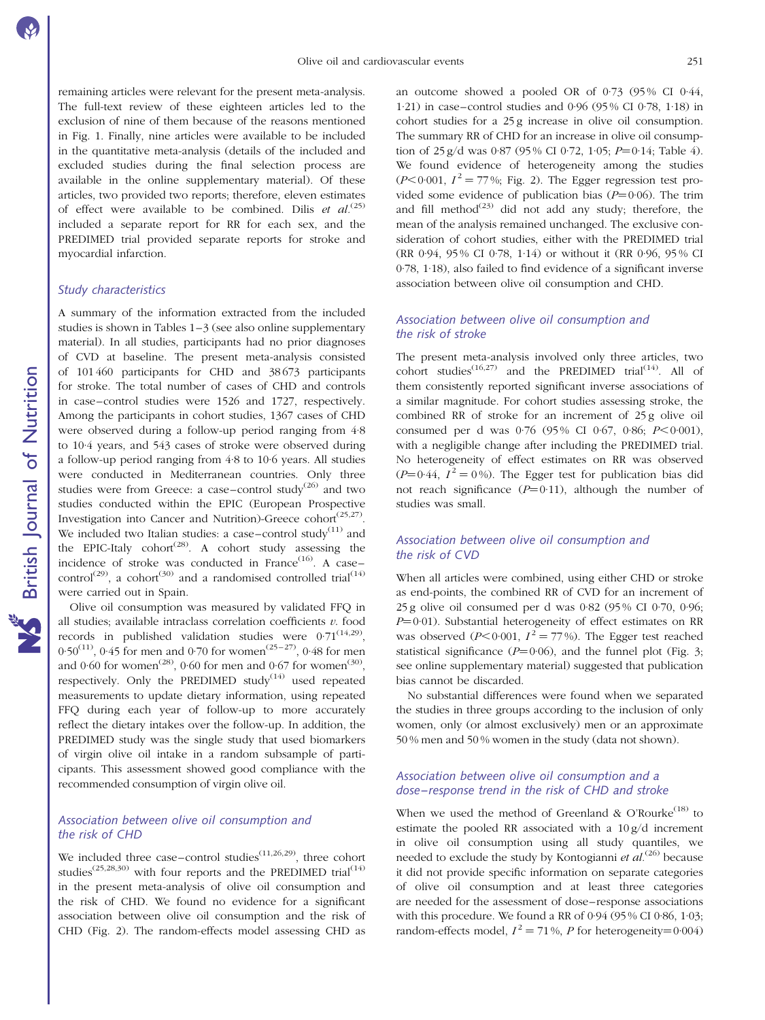remaining articles were relevant for the present meta-analysis. The full-text review of these eighteen articles led to the exclusion of nine of them because of the reasons mentioned in [Fig. 1](#page-2-0). Finally, nine articles were available to be included in the quantitative meta-analysis (details of the included and excluded studies during the final selection process are available in the online supplementary material). Of these articles, two provided two reports; therefore, eleven estimates of effect were available to be combined. Dilis et  $al^{(25)}$ included a separate report for RR for each sex, and the PREDIMED trial provided separate reports for stroke and myocardial infarction.

# Study characteristics

A summary of the information extracted from the included studies is shown in [Tables 1–3](#page-4-0) (see also online supplementary material). In all studies, participants had no prior diagnoses of CVD at baseline. The present meta-analysis consisted of 101 460 participants for CHD and 38 673 participants for stroke. The total number of cases of CHD and controls in case–control studies were 1526 and 1727, respectively. Among the participants in cohort studies, 1367 cases of CHD were observed during a follow-up period ranging from 4·8 to 10·4 years, and 543 cases of stroke were observed during a follow-up period ranging from 4·8 to 10·6 years. All studies were conducted in Mediterranean countries. Only three studies were from Greece: a case–control study<sup>(26)</sup> and two studies conducted within the EPIC (European Prospective Investigation into Cancer and Nutrition)-Greece cohort<sup> $(25,27)$ </sup>. We included two Italian studies: a case–control study $(11)$  and the EPIC-Italy cohort<sup>(28)</sup>. A cohort study assessing the incidence of stroke was conducted in France<sup> $(16)$ </sup>. A casecontrol<sup>(29)</sup>, a cohort<sup>(30)</sup> and a randomised controlled trial<sup>(14)</sup> were carried out in Spain.

Olive oil consumption was measured by validated FFQ in all studies; available intraclass correlation coefficients  $v$ . food records in published validation studies were  $0.71^{(14,29)}$ , 0.50<sup>(11)</sup>, 0.45 for men and 0.70 for women<sup>(25–27)</sup>, 0.48 for men and  $0.60$  for women<sup>(28)</sup>,  $0.60$  for men and  $0.67$  for women<sup>(30)</sup>, respectively. Only the PREDIMED study<sup>(14)</sup> used repeated measurements to update dietary information, using repeated FFQ during each year of follow-up to more accurately reflect the dietary intakes over the follow-up. In addition, the PREDIMED study was the single study that used biomarkers of virgin olive oil intake in a random subsample of participants. This assessment showed good compliance with the recommended consumption of virgin olive oil.

# Association between olive oil consumption and the risk of CHD

We included three case–control studies<sup> $(11,26,29)$ </sup>, three cohort studies<sup>(25,28,30)</sup> with four reports and the PREDIMED trial<sup>(14)</sup> in the present meta-analysis of olive oil consumption and the risk of CHD. We found no evidence for a significant association between olive oil consumption and the risk of CHD ([Fig. 2\)](#page-7-0). The random-effects model assessing CHD as an outcome showed a pooled OR of  $0.73$  (95% CI  $0.44$ , 1·21) in case–control studies and 0·96 (95 % CI 0·78, 1·18) in cohort studies for a 25 g increase in olive oil consumption. The summary RR of CHD for an increase in olive oil consumption of  $25 g/d$  was 0.87 (95% CI 0.72, 1.05;  $P=0.14$ ; [Table 4\)](#page-7-0). We found evidence of heterogeneity among the studies  $(P<0.001, I<sup>2</sup> = 77\%$ ; [Fig. 2](#page-7-0)). The Egger regression test provided some evidence of publication bias ( $P=0.06$ ). The trim and fill method<sup> $(23)$ </sup> did not add any study; therefore, the mean of the analysis remained unchanged. The exclusive consideration of cohort studies, either with the PREDIMED trial (RR 0·94, 95 % CI 0·78, 1·14) or without it (RR 0·96, 95 % CI 0·78, 1·18), also failed to find evidence of a significant inverse association between olive oil consumption and CHD.

# Association between olive oil consumption and the risk of stroke

The present meta-analysis involved only three articles, two cohort studies<sup>(16,27)</sup> and the PREDIMED trial<sup>(14)</sup>. All of them consistently reported significant inverse associations of a similar magnitude. For cohort studies assessing stroke, the combined RR of stroke for an increment of 25 g olive oil consumed per d was  $0.76$  (95% CI 0.67, 0.86; P<0.001), with a negligible change after including the PREDIMED trial. No heterogeneity of effect estimates on RR was observed  $(P=0.44, I^2=0\%)$ . The Egger test for publication bias did not reach significance  $(P=0.11)$ , although the number of studies was small.

# Association between olive oil consumption and the risk of CVD

When all articles were combined, using either CHD or stroke as end-points, the combined RR of CVD for an increment of 25 g olive oil consumed per d was 0·82 (95 % CI 0·70, 0·96;  $P=0.01$ ). Substantial heterogeneity of effect estimates on RR was observed ( $P \le 0.001$ ,  $I^2 = 77\%$ ). The Egger test reached statistical significance ( $P=0.06$ ), and the funnel plot ([Fig. 3](#page-8-0); see online supplementary material) suggested that publication bias cannot be discarded.

No substantial differences were found when we separated the studies in three groups according to the inclusion of only women, only (or almost exclusively) men or an approximate 50 % men and 50 % women in the study (data not shown).

# Association between olive oil consumption and a dose–response trend in the risk of CHD and stroke

When we used the method of Greenland & O'Rourke<sup> $(18)$ </sup> to estimate the pooled RR associated with a 10 g/d increment in olive oil consumption using all study quantiles, we needed to exclude the study by Kontogianni et  $al^{(26)}$  because it did not provide specific information on separate categories of olive oil consumption and at least three categories are needed for the assessment of dose–response associations with this procedure. We found a RR of 0·94 (95 % CI 0·86, 1·03; random-effects model,  $I^2 = 71\%$ , P for heterogeneity=0.004)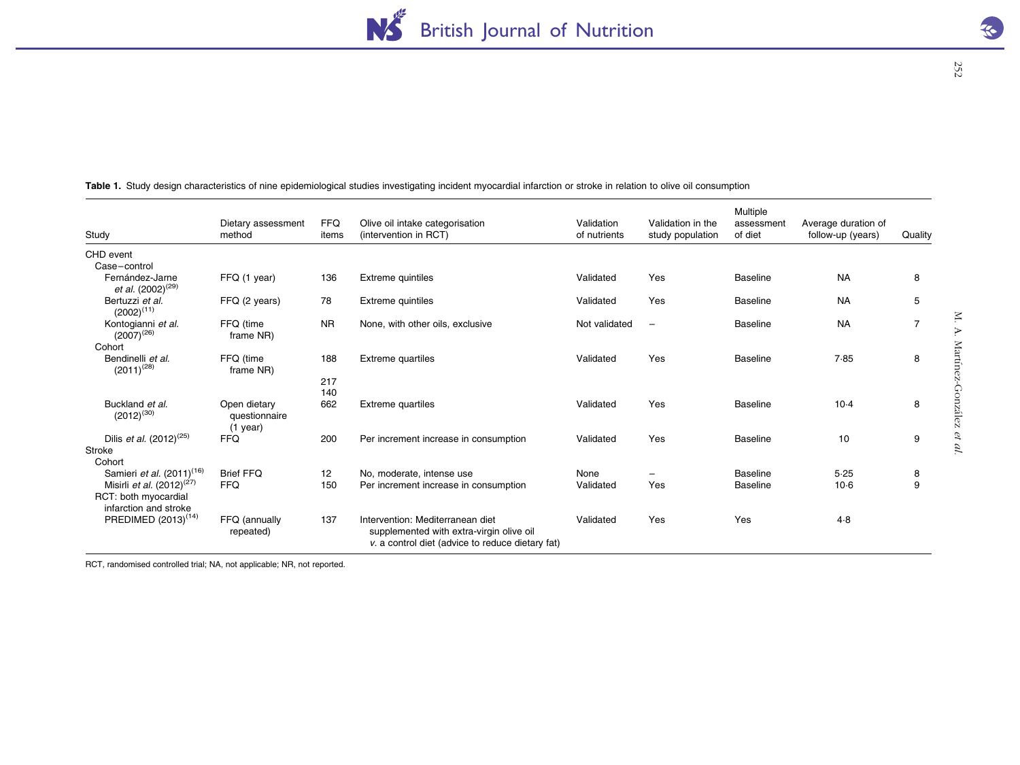| Study                                                                                  | Dietary assessment<br>method                | <b>FFQ</b><br>items | Olive oil intake categorisation<br>(intervention in RCT)                                                                         | Validation<br>of nutrients | Validation in the<br>study population | Multiple<br>assessment<br>of diet | Average duration of<br>follow-up (years) | Quality        |
|----------------------------------------------------------------------------------------|---------------------------------------------|---------------------|----------------------------------------------------------------------------------------------------------------------------------|----------------------------|---------------------------------------|-----------------------------------|------------------------------------------|----------------|
| CHD event                                                                              |                                             |                     |                                                                                                                                  |                            |                                       |                                   |                                          |                |
| Case-control                                                                           |                                             |                     |                                                                                                                                  |                            |                                       |                                   |                                          |                |
| Fernández-Jarne<br>et al. (2002) <sup>(29)</sup>                                       | FFQ (1 year)                                | 136                 | Extreme quintiles                                                                                                                | Validated                  | Yes                                   | <b>Baseline</b>                   | <b>NA</b>                                | 8              |
| Bertuzzi et al.<br>$(2002)^{(11)}$                                                     | FFQ (2 years)                               | 78                  | Extreme quintiles                                                                                                                | Validated                  | Yes                                   | <b>Baseline</b>                   | <b>NA</b>                                | 5              |
| Kontogianni et al.<br>$(2007)^{(26)}$                                                  | FFQ (time<br>frame NR)                      | <b>NR</b>           | None, with other oils, exclusive                                                                                                 | Not validated              | $\overline{\phantom{m}}$              | <b>Baseline</b>                   | <b>NA</b>                                | $\overline{7}$ |
| Cohort                                                                                 |                                             |                     |                                                                                                                                  |                            |                                       |                                   |                                          |                |
| Bendinelli et al.<br>$(2011)^{(28)}$                                                   | FFQ (time<br>frame NR)                      | 188                 | <b>Extreme quartiles</b>                                                                                                         | Validated                  | Yes                                   | <b>Baseline</b>                   | 7.85                                     | 8              |
|                                                                                        |                                             | 217<br>140          |                                                                                                                                  |                            |                                       |                                   |                                          |                |
| Buckland et al.<br>$(2012)^{(30)}$                                                     | Open dietary<br>questionnaire<br>$(1$ year) | 662                 | <b>Extreme quartiles</b>                                                                                                         | Validated                  | Yes                                   | <b>Baseline</b>                   | $10-4$                                   | 8              |
| Dilis <i>et al.</i> $(2012)^{(25)}$                                                    | <b>FFQ</b>                                  | 200                 | Per increment increase in consumption                                                                                            | Validated                  | Yes                                   | <b>Baseline</b>                   | 10                                       | 9              |
| Stroke                                                                                 |                                             |                     |                                                                                                                                  |                            |                                       |                                   |                                          |                |
| Cohort                                                                                 |                                             |                     |                                                                                                                                  |                            |                                       |                                   |                                          |                |
| Samieri et al. (2011) <sup>(16)</sup>                                                  | <b>Brief FFQ</b>                            | 12                  | No, moderate, intense use                                                                                                        | None                       |                                       | <b>Baseline</b>                   | 5.25                                     | 8              |
| Misirli <i>et al.</i> $(2012)^{(27)}$<br>RCT: both myocardial<br>infarction and stroke | <b>FFQ</b>                                  | 150                 | Per increment increase in consumption                                                                                            | Validated                  | Yes                                   | <b>Baseline</b>                   | $10-6$                                   | 9              |
| PREDIMED (2013) <sup>(14)</sup>                                                        | FFQ (annually<br>repeated)                  | 137                 | Intervention: Mediterranean diet<br>supplemented with extra-virgin olive oil<br>v. a control diet (advice to reduce dietary fat) | Validated                  | Yes                                   | Yes                               | 4.8                                      |                |

<span id="page-4-0"></span>Table 1. Study design characteristics of nine epidemiological studies investigating incident myocardial infarction or stroke in relation to olive oil consumption

RCT, randomised controlled trial; NA, not applicable; NR, not reported.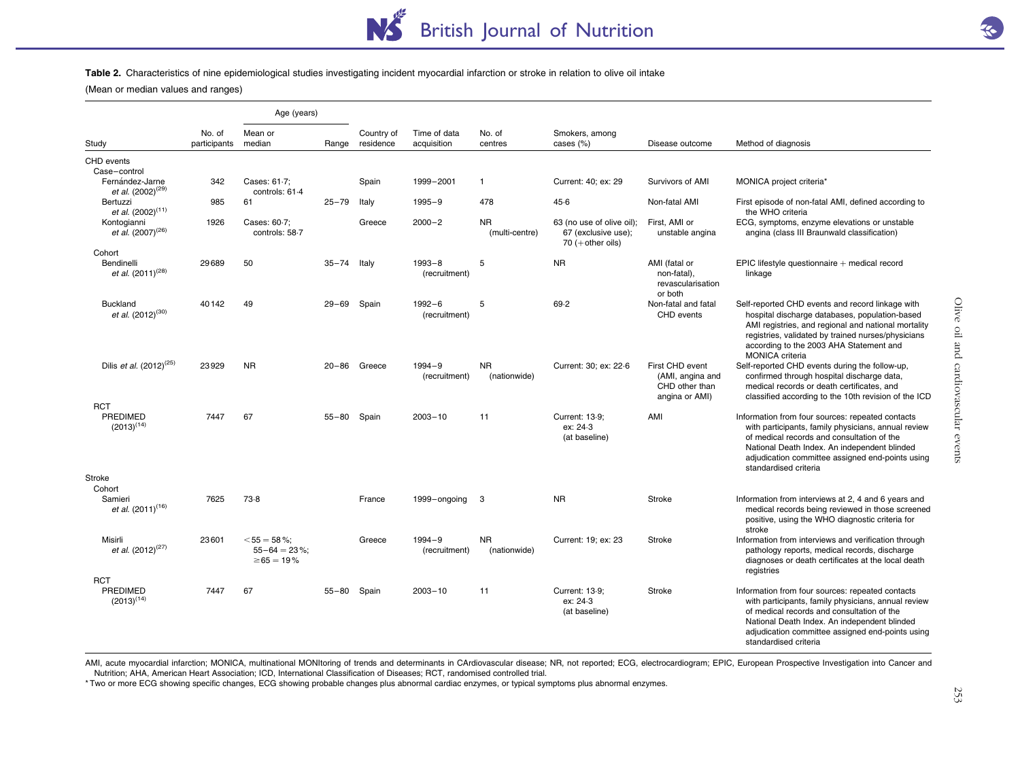#### Table 2. Characteristics of nine epidemiological studies investigating incident myocardial infarction or stroke in relation to olive oil intake

(Mean or median values and ranges)

|                                                                  |                        | Age (years)                                            |           |                         |                             |                             |                                                                         |                                                                         |                                                                                                                                                                                                                                                                                      |
|------------------------------------------------------------------|------------------------|--------------------------------------------------------|-----------|-------------------------|-----------------------------|-----------------------------|-------------------------------------------------------------------------|-------------------------------------------------------------------------|--------------------------------------------------------------------------------------------------------------------------------------------------------------------------------------------------------------------------------------------------------------------------------------|
| Study                                                            | No. of<br>participants | Mean or<br>median                                      | Range     | Country of<br>residence | Time of data<br>acquisition | No. of<br>centres           | Smokers, among<br>cases (%)                                             | Disease outcome                                                         | Method of diagnosis                                                                                                                                                                                                                                                                  |
| CHD events                                                       |                        |                                                        |           |                         |                             |                             |                                                                         |                                                                         |                                                                                                                                                                                                                                                                                      |
| Case-control<br>Fernández-Jarne<br>et al. (2002) <sup>(29)</sup> | 342                    | Cases: 61-7;<br>controls: 61.4                         |           | Spain                   | 1999-2001                   | $\mathbf{1}$                | Current: 40; ex: 29                                                     | Survivors of AMI                                                        | MONICA project criteria*                                                                                                                                                                                                                                                             |
| Bertuzzi<br>et al. (2002) <sup>(11)</sup>                        | 985                    | 61                                                     | $25 - 79$ | Italy                   | $1995 - 9$                  | 478                         | 45.6                                                                    | Non-fatal AMI                                                           | First episode of non-fatal AMI, defined according to<br>the WHO criteria                                                                                                                                                                                                             |
| Kontogianni<br>et al. (2007) <sup>(26)</sup>                     | 1926                   | Cases: 60-7;<br>controls: 58-7                         |           | Greece                  | $2000 - 2$                  | <b>NR</b><br>(multi-centre) | 63 (no use of olive oil);<br>67 (exclusive use);<br>$70$ (+ other oils) | First, AMI or<br>unstable angina                                        | ECG, symptoms, enzyme elevations or unstable<br>angina (class III Braunwald classification)                                                                                                                                                                                          |
| Cohort<br>Bendinelli<br>et al. (2011) <sup>(28)</sup>            | 29689                  | 50                                                     | $35 - 74$ | Italy                   | $1993 - 8$<br>(recruitment) | 5                           | <b>NR</b>                                                               | AMI (fatal or<br>non-fatal).<br>revascularisation<br>or both            | EPIC lifestyle questionnaire $+$ medical record<br>linkage                                                                                                                                                                                                                           |
| <b>Buckland</b><br>et al. (2012) <sup>(30)</sup>                 | 40142                  | 49                                                     | $29 - 69$ | Spain                   | $1992 - 6$<br>(recruitment) | 5                           | 69.2                                                                    | Non-fatal and fatal<br>CHD events                                       | Self-reported CHD events and record linkage with<br>hospital discharge databases, population-based<br>AMI registries, and regional and national mortality<br>registries, validated by trained nurses/physicians<br>according to the 2003 AHA Statement and<br><b>MONICA</b> criteria |
| Dilis et al. (2012) <sup>(25)</sup>                              | 23929                  | <b>NR</b>                                              | $20 - 86$ | Greece                  | $1994 - 9$<br>(recruitment) | <b>NR</b><br>(nationwide)   | Current: 30; ex: 22-6                                                   | First CHD event<br>(AMI, angina and<br>CHD other than<br>angina or AMI) | Self-reported CHD events during the follow-up,<br>confirmed through hospital discharge data,<br>medical records or death certificates, and<br>classified according to the 10th revision of the ICD                                                                                   |
| <b>RCT</b><br>PREDIMED<br>$(2013)^{(14)}$                        | 7447                   | 67                                                     | $55 - 80$ | Spain                   | $2003 - 10$                 | 11                          | Current: 13-9;<br>ex: 24.3<br>(at baseline)                             | AMI                                                                     | Information from four sources: repeated contacts<br>with participants, family physicians, annual review<br>of medical records and consultation of the<br>National Death Index. An independent blinded<br>adjudication committee assigned end-points using<br>standardised criteria   |
| Stroke<br>Cohort                                                 |                        |                                                        |           |                         |                             |                             |                                                                         |                                                                         |                                                                                                                                                                                                                                                                                      |
| Samieri<br>et al. (2011) <sup>(16)</sup>                         | 7625                   | 73.8                                                   |           | France                  | 1999-ongoing                | 3                           | <b>NR</b>                                                               | Stroke                                                                  | Information from interviews at 2, 4 and 6 years and<br>medical records being reviewed in those screened<br>positive, using the WHO diagnostic criteria for<br>stroke                                                                                                                 |
| Misirli<br>et al. (2012) <sup>(27)</sup>                         | 23601                  | $<$ 55 = 58 %:<br>$55 - 64 = 23\%$<br>$\geq 65 = 19\%$ |           | Greece                  | $1994 - 9$<br>(recruitment) | <b>NR</b><br>(nationwide)   | Current: 19; ex: 23                                                     | <b>Stroke</b>                                                           | Information from interviews and verification through<br>pathology reports, medical records, discharge<br>diagnoses or death certificates at the local death<br>registries                                                                                                            |
| <b>RCT</b><br>PREDIMED<br>$(2013)^{(14)}$                        | 7447                   | 67                                                     | $55 - 80$ | Spain                   | $2003 - 10$                 | 11                          | Current: 13-9:<br>ex: 24.3<br>(at baseline)                             | <b>Stroke</b>                                                           | Information from four sources: repeated contacts<br>with participants, family physicians, annual review<br>of medical records and consultation of the<br>National Death Index. An independent blinded<br>adjudication committee assigned end-points using<br>standardised criteria   |

AMI, acute myocardial infarction; MONICA, multinational MONItoring of trends and determinants in CArdiovascular disease; NR, not reported; ECG, electrocardiogram; EPIC, European Prospective Investigation into Cancer and Nutrition; AHA, American Heart Association; ICD, International Classification of Diseases; RCT, randomised controlled trial.

\* Two or more ECG showing specific changes, ECG showing probable changes plus abnormal cardiac enzymes, or typical symptoms plus abnormal enzymes.

Olive oil and cardiovascular events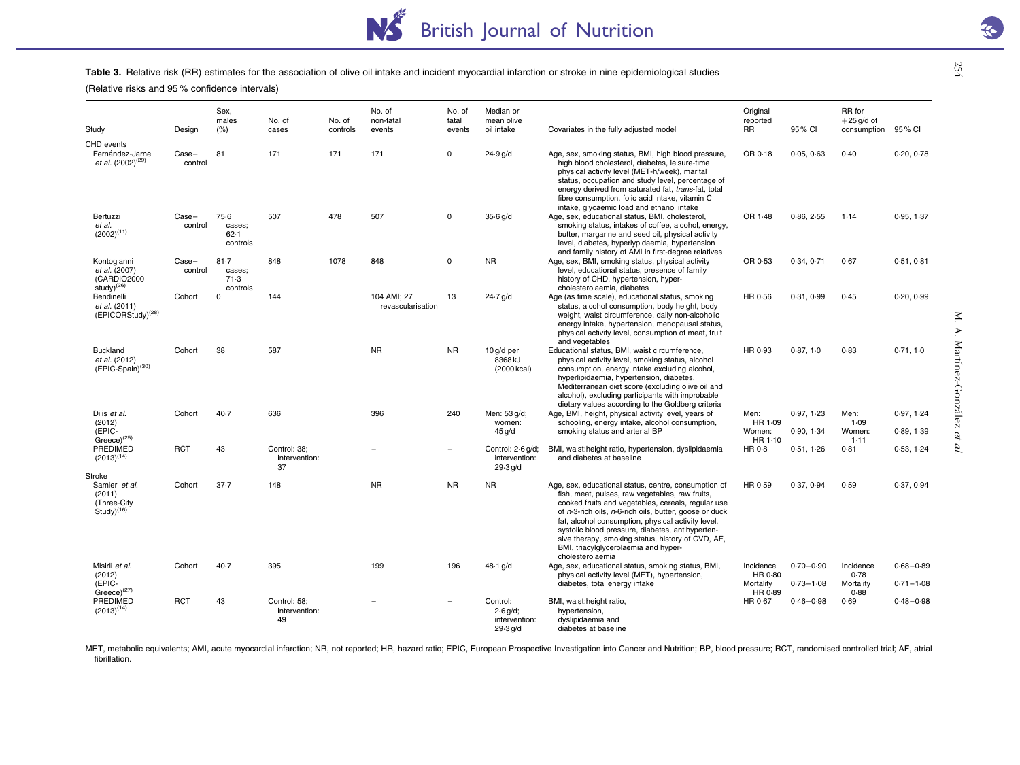#### Table 3. Relative risk (RR) estimates for the association of olive oil intake and incident myocardial infarction or stroke in nine epidemiological studies

(Relative risks and 95 % confidence intervals)

| Study                                                                      | Design           | Sex.<br>males<br>(% )                  | No. of<br>cases                     | No. of<br>controls | No. of<br>non-fatal<br>events    | No. of<br>fatal<br>events | Median or<br>mean olive<br>oil intake               | Covariates in the fully adjusted model                                                                                                                                                                                                                                                                                                                                                                                                             | Original<br>reported<br><b>RR</b>    | 95% CI                         | RR for<br>$+25$ g/d of<br>consumption | 95 % CI                        |
|----------------------------------------------------------------------------|------------------|----------------------------------------|-------------------------------------|--------------------|----------------------------------|---------------------------|-----------------------------------------------------|----------------------------------------------------------------------------------------------------------------------------------------------------------------------------------------------------------------------------------------------------------------------------------------------------------------------------------------------------------------------------------------------------------------------------------------------------|--------------------------------------|--------------------------------|---------------------------------------|--------------------------------|
| CHD events                                                                 |                  |                                        |                                     |                    |                                  |                           |                                                     |                                                                                                                                                                                                                                                                                                                                                                                                                                                    |                                      |                                |                                       |                                |
| Fernández-Jarne<br>et al. (2002) <sup>(29)</sup>                           | Case-<br>control | 81                                     | 171                                 | 171                | 171                              | $\Omega$                  | $24.9$ g/d                                          | Age, sex, smoking status, BMI, high blood pressure,<br>high blood cholesterol, diabetes, leisure-time<br>physical activity level (MET-h/week), marital<br>status, occupation and study level, percentage of<br>energy derived from saturated fat, trans-fat, total<br>fibre consumption, folic acid intake, vitamin C<br>intake, glycaemic load and ethanol intake                                                                                 | OR 0-18                              | 0.05, 0.63                     | 0.40                                  | 0.20, 0.78                     |
| Bertuzzi<br>et al.<br>$(2002)^{(11)}$                                      | Case-<br>control | 75.6<br>cases;<br>$62 - 1$<br>controls | 507                                 | 478                | 507                              | $\mathbf 0$               | 35.6 g/d                                            | Age, sex, educational status, BMI, cholesterol,<br>smoking status, intakes of coffee, alcohol, energy,<br>butter, margarine and seed oil, physical activity<br>level, diabetes, hyperlypidaemia, hypertension<br>and family history of AMI in first-degree relatives                                                                                                                                                                               | OR 1.48                              | 0.86, 2.55                     | 1.14                                  | 0.95, 1.37                     |
| Kontogianni<br>et al. (2007)<br>(CARDIO2000<br>study $)^{(26)}$            | Case-<br>control | 81.7<br>cases;<br>71.3<br>controls     | 848                                 | 1078               | 848                              | $\mathbf 0$               | <b>NR</b>                                           | Age, sex, BMI, smoking status, physical activity<br>level, educational status, presence of family<br>history of CHD, hypertension, hyper-<br>cholesterolaemia, diabetes                                                                                                                                                                                                                                                                            | OR 0-53                              | 0.34, 0.71                     | 0.67                                  | 0.51, 0.81                     |
| Bendinelli<br>et al. (2011)<br>(EPICORStudy) <sup>(28)</sup>               | Cohort           | 0                                      | 144                                 |                    | 104 AMI: 27<br>revascularisation | 13                        | $24.7$ g/d                                          | Age (as time scale), educational status, smoking<br>status, alcohol consumption, body height, body<br>weight, waist circumference, daily non-alcoholic<br>energy intake, hypertension, menopausal status,<br>physical activity level, consumption of meat, fruit<br>and vegetables                                                                                                                                                                 | HR 0-56                              | 0.31, 0.99                     | 0.45                                  | 0.20, 0.99                     |
| <b>Buckland</b><br>et al. (2012)<br>(EPIC-Spain) <sup>(30)</sup>           | Cohort           | 38                                     | 587                                 |                    | <b>NR</b>                        | <b>NR</b>                 | 10 g/d per<br>8368 kJ<br>(2000 kcal)                | Educational status, BMI, waist circumference,<br>physical activity level, smoking status, alcohol<br>consumption, energy intake excluding alcohol,<br>hyperlipidaemia, hypertension, diabetes,<br>Mediterranean diet score (excluding olive oil and<br>alcohol), excluding participants with improbable<br>dietary values according to the Goldberg criteria                                                                                       | HR 0-93                              | 0.87.10                        | 0.83                                  | 0.71, 1.0                      |
| Dilis et al.<br>(2012)<br>(EPIC-<br>$Greeze)^{(25)}$                       | Cohort           | 40.7                                   | 636                                 |                    | 396                              | 240                       | Men: 53 g/d;<br>women:<br>$45$ g/d                  | Age, BMI, height, physical activity level, years of<br>schooling, energy intake, alcohol consumption,<br>smoking status and arterial BP                                                                                                                                                                                                                                                                                                            | Men:<br>HR 1.09<br>Women:<br>HR 1-10 | 0.97.123<br>0.90.134           | Men:<br>1.09<br>Women:<br>1.11        | 0.97, 1.24<br>0.89, 1.39       |
| PREDIMED<br>$(2013)^{(14)}$                                                | <b>RCT</b>       | 43                                     | Control: 38:<br>intervention:<br>37 |                    |                                  | $\overline{\phantom{0}}$  | Control: 2-6 g/d;<br>intervention:<br>29.3 q/d      | BMI, waist:height ratio, hypertension, dyslipidaemia<br>and diabetes at baseline                                                                                                                                                                                                                                                                                                                                                                   | HR 0-8                               | 0.51.126                       | 0.81                                  | 0.53, 1.24                     |
| Stroke<br>Samieri et al.<br>(2011)<br>(Three-City<br>Study <sup>(16)</sup> | Cohort           | 37.7                                   | 148                                 |                    | <b>NR</b>                        | <b>NR</b>                 | <b>NR</b>                                           | Age, sex, educational status, centre, consumption of<br>fish, meat, pulses, raw vegetables, raw fruits,<br>cooked fruits and vegetables, cereals, regular use<br>of n-3-rich oils, n-6-rich oils, butter, goose or duck<br>fat, alcohol consumption, physical activity level,<br>systolic blood pressure, diabetes, antihyperten-<br>sive therapy, smoking status, history of CVD, AF,<br>BMI, triacylglycerolaemia and hyper-<br>cholesterolaemia | HR 0-59                              | 0.37, 0.94                     | 0.59                                  | 0.37, 0.94                     |
| Misirli et al.<br>(2012)<br>(EPIC-                                         | Cohort           | $40-7$                                 | 395                                 |                    | 199                              | 196                       | 48-1 g/d                                            | Age, sex, educational status, smoking status, BMI,<br>physical activity level (MET), hypertension,<br>diabetes, total energy intake                                                                                                                                                                                                                                                                                                                | Incidence<br>HR 0-80<br>Mortality    | $0.70 - 0.90$<br>$0.73 - 1.08$ | Incidence<br>0.78<br>Mortality        | $0.68 - 0.89$<br>$0.71 - 1.08$ |
| $Greeze)^{(27)}$<br><b>PREDIMED</b><br>$(2013)^{(14)}$                     | <b>RCT</b>       | 43                                     | Control: 58:<br>intervention:<br>49 |                    |                                  |                           | Control:<br>$2.6$ g/d;<br>intervention:<br>29.3 q/d | BMI, waist:height ratio,<br>hypertension,<br>dyslipidaemia and<br>diabetes at baseline                                                                                                                                                                                                                                                                                                                                                             | HR 0-89<br>HR 0.67                   | $0.46 - 0.98$                  | 0.88<br>0.69                          | $0.48 - 0.98$                  |

MET, metabolic equivalents; AMI, acute myocardial infarction; NR, not reported; HR, hazard ratio; EPIC, European Prospective Investigation into Cancer and Nutrition; BP, blood pressure; RCT, randomised controlled trial; AF fibrillation.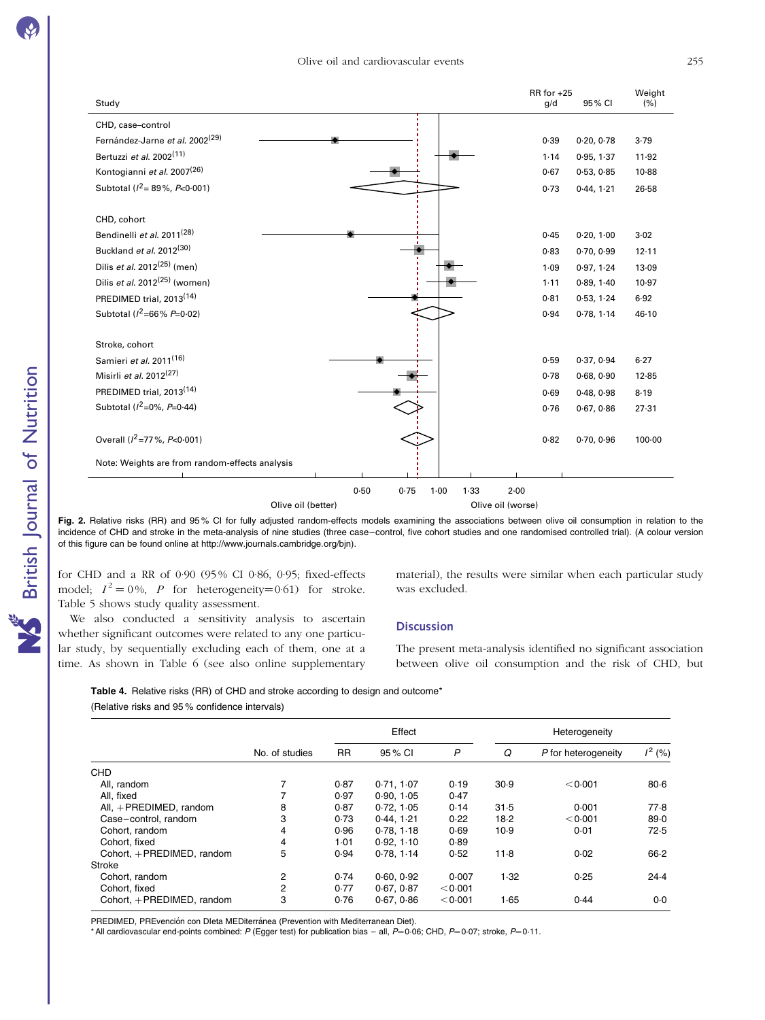<span id="page-7-0"></span>

| Study                                          |                                  | RR for +25<br>95% CI<br>g/d | Weight<br>(% ) |
|------------------------------------------------|----------------------------------|-----------------------------|----------------|
|                                                |                                  |                             |                |
| CHD, case-control                              |                                  |                             |                |
| Fernández-Jarne et al. 2002 <sup>(29)</sup>    |                                  | 0.39<br>0.20, 0.78          | 3.79           |
| Bertuzzi et al. 2002 <sup>(11)</sup>           |                                  | 0.95, 1.37<br>1.14          | 11.92          |
| Kontogianni et al. 2007 <sup>(26)</sup>        |                                  | 0.67<br>0.53, 0.85          | 10.88          |
| Subtotal ( $l^2$ = 89%, $P$ < 0.001)           |                                  | 0.73<br>0.44, 1.21          | $26 - 58$      |
| CHD, cohort                                    |                                  |                             |                |
| Bendinelli et al. 2011 <sup>(28)</sup>         |                                  | 0.45<br>0.20, 1.00          | 3.02           |
| Buckland et al. 2012 <sup>(30)</sup>           |                                  | 0.83<br>0.70, 0.99          | 12.11          |
| Dilis et al. $2012^{(25)}$ (men)               |                                  | 1.09<br>0.97, 1.24          | 13.09          |
| Dilis et al. $2012^{(25)}$ (women)             |                                  | 0.89, 1.40<br>$1 - 11$      | 10.97          |
| PREDIMED trial, 2013 <sup>(14)</sup>           |                                  | 0.53, 1.24<br>0.81          | 6.92           |
| Subtotal ( $l^2$ =66% P=0.02)                  |                                  | 0.94<br>0.78, 1.14          | 46.10          |
| Stroke, cohort                                 |                                  |                             |                |
| Samieri et al. 2011 <sup>(16)</sup>            |                                  | 0.59<br>0.37, 0.94          | 6.27           |
| Misirli et al. $2012^{(27)}$                   |                                  | 0.68, 0.90<br>0.78          | 12.85          |
| PREDIMED trial, 2013 <sup>(14)</sup>           |                                  | 0.69<br>0.48, 0.98          | 8.19           |
| Subtotal ( $l^2$ =0%, P=0·44)                  |                                  | 0.76<br>0.67, 0.86          | 27.31          |
| Overall ( $l^2$ =77%, P<0.001)                 |                                  | 0.82<br>0.70, 0.96          | $100 - 00$     |
| Note: Weights are from random-effects analysis |                                  |                             |                |
|                                                |                                  |                             |                |
|                                                | 0.50<br>0.75<br>1.33<br>$1 - 00$ | $2 - 00$                    |                |
|                                                | Olive oil (better)               | Olive oil (worse)           |                |

Fig. 2. Relative risks (RR) and 95% CI for fully adjusted random-effects models examining the associations between olive oil consumption in relation to the incidence of CHD and stroke in the meta-analysis of nine studies (three case–control, five cohort studies and one randomised controlled trial). (A colour version of this figure can be found online at http://www.journals.cambridge.org/bjn).

for CHD and a RR of 0·90 (95 % CI 0·86, 0·95; fixed-effects model;  $I^2 = 0\%$ , P for heterogeneity=0.61) for stroke. [Table 5](#page-8-0) shows study quality assessment.

material), the results were similar when each particular study was excluded.

We also conducted a sensitivity analysis to ascertain whether significant outcomes were related to any one particular study, by sequentially excluding each of them, one at a time. As shown in [Table 6](#page-9-0) (see also online supplementary

**Discussion** 

The present meta-analysis identified no significant association between olive oil consumption and the risk of CHD, but

|  | <b>Table 4.</b> Relative risks (RR) of CHD and stroke according to design and outcome* |
|--|----------------------------------------------------------------------------------------|
|--|----------------------------------------------------------------------------------------|

(Relative risks and 95 % confidence intervals)

|                              |                |           | Effect     |              | Heterogeneity |                     |           |  |
|------------------------------|----------------|-----------|------------|--------------|---------------|---------------------|-----------|--|
|                              | No. of studies | <b>RR</b> | 95 % CI    | $\mathsf{P}$ | Q             | P for heterogeneity | $1^2$ (%) |  |
| <b>CHD</b>                   |                |           |            |              |               |                     |           |  |
| All. random                  |                | 0.87      | 0.71.107   | 0.19         | 30.9          | < 0.001             | $80 - 6$  |  |
| All. fixed                   |                | 0.97      | 0.90, 1.05 | 0.47         |               |                     |           |  |
| All, $+$ PREDIMED, random    | 8              | 0.87      | 0.72, 1.05 | 0.14         | 31.5          | 0.001               | 77.8      |  |
| Case-control, random         | 3              | 0.73      | 0.44.1.21  | 0.22         | 18.2          | < 0.001             | 89.0      |  |
| Cohort. random               | 4              | 0.96      | 0.78, 1.18 | 0.69         | 10.9          | 0.01                | 72.5      |  |
| Cohort, fixed                | 4              | 1.01      | 0.92, 1.10 | 0.89         |               |                     |           |  |
| Cohort. $+$ PREDIMED. random | 5              | 0.94      | 0.78, 1.14 | 0.52         | $11-8$        | 0.02                | $66-2$    |  |
| Stroke                       |                |           |            |              |               |                     |           |  |
| Cohort, random               | 2              | 0.74      | 0.60, 0.92 | 0.007        | 1.32          | 0.25                | $24-4$    |  |
| Cohort, fixed                | 2              | 0.77      | 0.67, 0.87 | < 0.001      |               |                     |           |  |
| Cohort. + PREDIMED. random   | 3              | 0.76      | 0.67, 0.86 | < 0.001      | 1.65          | 0.44                | $0-0$     |  |

PREDIMED, PREvención con DIeta MEDiterránea (Prevention with Mediterranean Diet).

\* All cardiovascular end-points combined: P (Egger test) for publication bias – all, P=0.06; CHD, P=0.07; stroke, P=0.11.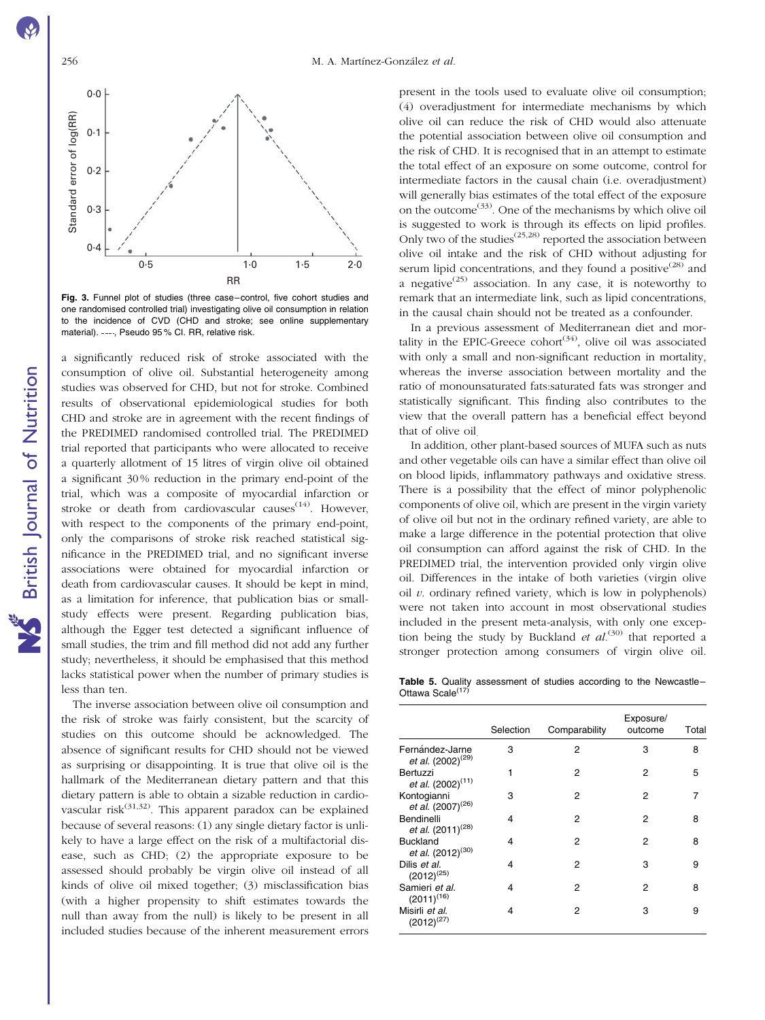<span id="page-8-0"></span>

Fig. 3. Funnel plot of studies (three case–control, five cohort studies and one randomised controlled trial) investigating olive oil consumption in relation to the incidence of CVD (CHD and stroke; see online supplementary material). ----, Pseudo 95% CI. RR, relative risk.

a significantly reduced risk of stroke associated with the consumption of olive oil. Substantial heterogeneity among studies was observed for CHD, but not for stroke. Combined results of observational epidemiological studies for both CHD and stroke are in agreement with the recent findings of the PREDIMED randomised controlled trial. The PREDIMED trial reported that participants who were allocated to receive a quarterly allotment of 15 litres of virgin olive oil obtained a significant 30 % reduction in the primary end-point of the trial, which was a composite of myocardial infarction or stroke or death from cardiovascular causes $(14)$ . However, with respect to the components of the primary end-point. only the comparisons of stroke risk reached statistical significance in the PREDIMED trial, and no significant inverse associations were obtained for myocardial infarction or death from cardiovascular causes. It should be kept in mind, as a limitation for inference, that publication bias or smallstudy effects were present. Regarding publication bias, although the Egger test detected a significant influence of small studies, the trim and fill method did not add any further study; nevertheless, it should be emphasised that this method lacks statistical power when the number of primary studies is less than ten.

The inverse association between olive oil consumption and the risk of stroke was fairly consistent, but the scarcity of studies on this outcome should be acknowledged. The absence of significant results for CHD should not be viewed as surprising or disappointing. It is true that olive oil is the hallmark of the Mediterranean dietary pattern and that this dietary pattern is able to obtain a sizable reduction in cardiovascular risk $(31,32)$ . This apparent paradox can be explained because of several reasons: (1) any single dietary factor is unlikely to have a large effect on the risk of a multifactorial disease, such as CHD; (2) the appropriate exposure to be assessed should probably be virgin olive oil instead of all kinds of olive oil mixed together; (3) misclassification bias (with a higher propensity to shift estimates towards the null than away from the null) is likely to be present in all included studies because of the inherent measurement errors present in the tools used to evaluate olive oil consumption; (4) overadjustment for intermediate mechanisms by which olive oil can reduce the risk of CHD would also attenuate the potential association between olive oil consumption and the risk of CHD. It is recognised that in an attempt to estimate the total effect of an exposure on some outcome, control for intermediate factors in the causal chain (i.e. overadjustment) will generally bias estimates of the total effect of the exposure on the outcome(33). One of the mechanisms by which olive oil is suggested to work is through its effects on lipid profiles. Only two of the studies<sup> $(25,28)$ </sup> reported the association between olive oil intake and the risk of CHD without adjusting for serum lipid concentrations, and they found a positive<sup> $(28)$ </sup> and a negative<sup> $(25)$ </sup> association. In any case, it is noteworthy to remark that an intermediate link, such as lipid concentrations, in the causal chain should not be treated as a confounder.

In a previous assessment of Mediterranean diet and mortality in the EPIC-Greece cohort<sup>(34)</sup>, olive oil was associated with only a small and non-significant reduction in mortality, whereas the inverse association between mortality and the ratio of monounsaturated fats:saturated fats was stronger and statistically significant. This finding also contributes to the view that the overall pattern has a beneficial effect beyond that of olive oil.

In addition, other plant-based sources of MUFA such as nuts and other vegetable oils can have a similar effect than olive oil on blood lipids, inflammatory pathways and oxidative stress. There is a possibility that the effect of minor polyphenolic components of olive oil, which are present in the virgin variety of olive oil but not in the ordinary refined variety, are able to make a large difference in the potential protection that olive oil consumption can afford against the risk of CHD. In the PREDIMED trial, the intervention provided only virgin olive oil. Differences in the intake of both varieties (virgin olive oil  $v$ . ordinary refined variety, which is low in polyphenols) were not taken into account in most observational studies included in the present meta-analysis, with only one exception being the study by Buckland et  $al^{(30)}$  that reported a stronger protection among consumers of virgin olive oil.

Table 5. Quality assessment of studies according to the Newcastle– Ottawa Scale<sup>(17)</sup>

|                                                  | Selection | Comparability  | Exposure/<br>outcome | Total |
|--------------------------------------------------|-----------|----------------|----------------------|-------|
| Fernández-Jarne<br>et al. (2002) <sup>(29)</sup> | 3         | $\overline{2}$ | 3                    | 8     |
| Bertuzzi<br>et al. (2002) <sup>(11)</sup>        | 1         | 2              | 2                    | 5     |
| Kontogianni<br>et al. (2007) <sup>(26)</sup>     | 3         | 2              | 2                    | 7     |
| Bendinelli<br>et al. (2011) <sup>(28)</sup>      | 4         | 2              | 2                    | 8     |
| <b>Buckland</b><br>et al. (2012) <sup>(30)</sup> | 4         | 2              | 2                    | 8     |
| Dilis et al.<br>$(2012)^{(25)}$                  | 4         | $\overline{2}$ | 3                    | 9     |
| Samieri et al.<br>$(2011)^{(16)}$                | 4         | 2              | 2                    | 8     |
| Misirli et al.<br>$(2012)^{(27)}$                | 4         | 2              | 3                    | 9     |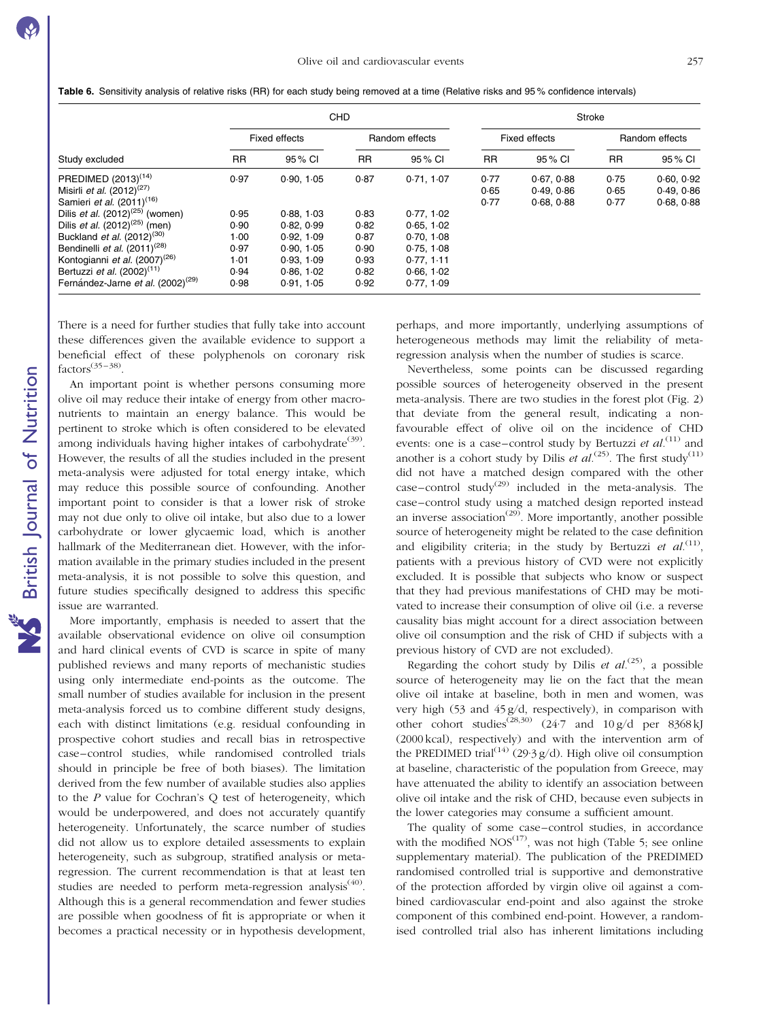|                                               |           |               | <b>CHD</b> |                | Stroke    |                      |           |                |  |
|-----------------------------------------------|-----------|---------------|------------|----------------|-----------|----------------------|-----------|----------------|--|
|                                               |           | Fixed effects |            | Random effects |           | <b>Fixed effects</b> |           | Random effects |  |
| Study excluded                                | <b>RR</b> | 95% CI        | <b>RR</b>  | 95 % CI        | <b>RR</b> | 95 % CI              | <b>RR</b> | 95 % CI        |  |
| PREDIMED (2013) <sup>(14)</sup>               | 0.97      | 0.90.105      | 0.87       | 0.71.107       | 0.77      | 0.67, 0.88           | 0.75      | 0.60.0.92      |  |
| Misirli <i>et al.</i> $(2012)^{(27)}$         |           |               |            |                | 0.65      | 0.49.0.86            | 0.65      | 0.49, 0.86     |  |
| Samieri et al. (2011) <sup>(16)</sup>         |           |               |            |                | 0.77      | 0.68, 0.88           | 0.77      | 0.68, 0.88     |  |
| Dilis <i>et al.</i> $(2012)^{(25)}$ (women)   | 0.95      | 0.88.1.03     | 0.83       | 0.77, 1.02     |           |                      |           |                |  |
| Dilis <i>et al.</i> $(2012)^{(25)}$ (men)     | 0.90      | 0.82, 0.99    | 0.82       | 0.65, 1.02     |           |                      |           |                |  |
| Buckland et al. (2012) <sup>(30)</sup>        | 1.00      | 0.92, 1.09    | 0.87       | 0.70, 1.08     |           |                      |           |                |  |
| Bendinelli et al. $(2011)^{(28)}$             | 0.97      | 0.90.105      | 0.90       | 0.75, 1.08     |           |                      |           |                |  |
| Kontogianni et al. (2007) <sup>(26)</sup>     | 1.01      | 0.93, 1.09    | 0.93       | 0.77.111       |           |                      |           |                |  |
| Bertuzzi <i>et al.</i> $(2002)^{(11)}$        | 0.94      | 0.86.1.02     | 0.82       | 0.66.1.02      |           |                      |           |                |  |
| Fernández-Jarne et al. (2002) <sup>(29)</sup> | 0.98      | 0.91.1.05     | 0.92       | 0.77, 1.09     |           |                      |           |                |  |

<span id="page-9-0"></span>Table 6. Sensitivity analysis of relative risks (RR) for each study being removed at a time (Relative risks and 95% confidence intervals)

There is a need for further studies that fully take into account these differences given the available evidence to support a beneficial effect of these polyphenols on coronary risk  $factors^{(35-38)}$ 

An important point is whether persons consuming more olive oil may reduce their intake of energy from other macronutrients to maintain an energy balance. This would be pertinent to stroke which is often considered to be elevated among individuals having higher intakes of carbohydrate<sup>(39)</sup>. However, the results of all the studies included in the present meta-analysis were adjusted for total energy intake, which may reduce this possible source of confounding. Another important point to consider is that a lower risk of stroke may not due only to olive oil intake, but also due to a lower carbohydrate or lower glycaemic load, which is another hallmark of the Mediterranean diet. However, with the information available in the primary studies included in the present meta-analysis, it is not possible to solve this question, and future studies specifically designed to address this specific issue are warranted.

More importantly, emphasis is needed to assert that the available observational evidence on olive oil consumption and hard clinical events of CVD is scarce in spite of many published reviews and many reports of mechanistic studies using only intermediate end-points as the outcome. The small number of studies available for inclusion in the present meta-analysis forced us to combine different study designs, each with distinct limitations (e.g. residual confounding in prospective cohort studies and recall bias in retrospective case–control studies, while randomised controlled trials should in principle be free of both biases). The limitation derived from the few number of available studies also applies to the P value for Cochran's Q test of heterogeneity, which would be underpowered, and does not accurately quantify heterogeneity. Unfortunately, the scarce number of studies did not allow us to explore detailed assessments to explain heterogeneity, such as subgroup, stratified analysis or metaregression. The current recommendation is that at least ten studies are needed to perform meta-regression analysis<sup>(40)</sup>. Although this is a general recommendation and fewer studies are possible when goodness of fit is appropriate or when it becomes a practical necessity or in hypothesis development,

perhaps, and more importantly, underlying assumptions of heterogeneous methods may limit the reliability of metaregression analysis when the number of studies is scarce.

Nevertheless, some points can be discussed regarding possible sources of heterogeneity observed in the present meta-analysis. There are two studies in the forest plot ([Fig. 2](#page-7-0)) that deviate from the general result, indicating a nonfavourable effect of olive oil on the incidence of CHD events: one is a case–control study by Bertuzzi et  $al$ <sup>(11)</sup> and another is a cohort study by Dilis et  $al^{(25)}$ . The first study<sup>(11)</sup> did not have a matched design compared with the other  $case$ –control study<sup>(29)</sup> included in the meta-analysis. The case–control study using a matched design reported instead an inverse association<sup> $(29)$ </sup>. More importantly, another possible source of heterogeneity might be related to the case definition and eligibility criteria; in the study by Bertuzzi et  $al^{(11)}$ , patients with a previous history of CVD were not explicitly excluded. It is possible that subjects who know or suspect that they had previous manifestations of CHD may be motivated to increase their consumption of olive oil (i.e. a reverse causality bias might account for a direct association between olive oil consumption and the risk of CHD if subjects with a previous history of CVD are not excluded).

Regarding the cohort study by Dilis et  $al^{(25)}$ , a possible source of heterogeneity may lie on the fact that the mean olive oil intake at baseline, both in men and women, was very high (53 and 45 g/d, respectively), in comparison with other cohort studies<sup>(28,30)</sup> (24.7 and 10 g/d per 8368 kJ (2000 kcal), respectively) and with the intervention arm of the PREDIMED trial<sup>(14)</sup> (29·3 g/d). High olive oil consumption at baseline, characteristic of the population from Greece, may have attenuated the ability to identify an association between olive oil intake and the risk of CHD, because even subjects in the lower categories may consume a sufficient amount.

The quality of some case–control studies, in accordance with the modified  $NOS^{(17)}$ , was not high [\(Table 5](#page-8-0); see online supplementary material). The publication of the PREDIMED randomised controlled trial is supportive and demonstrative of the protection afforded by virgin olive oil against a combined cardiovascular end-point and also against the stroke component of this combined end-point. However, a randomised controlled trial also has inherent limitations including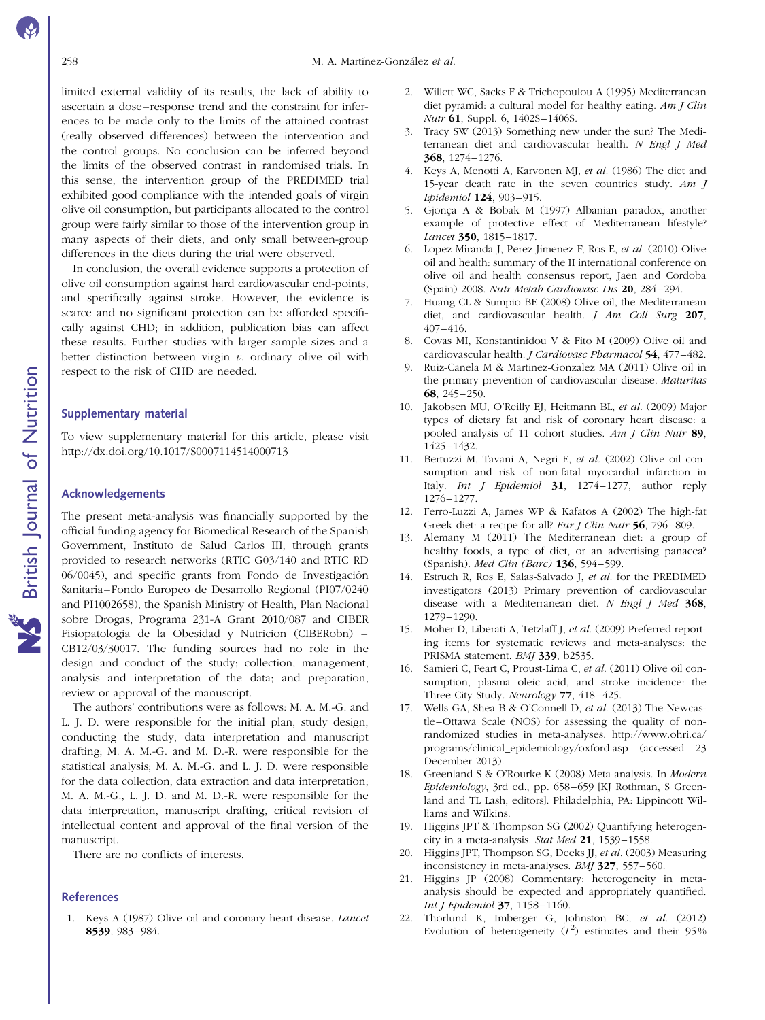limited external validity of its results, the lack of ability to ascertain a dose–response trend and the constraint for inferences to be made only to the limits of the attained contrast (really observed differences) between the intervention and the control groups. No conclusion can be inferred beyond the limits of the observed contrast in randomised trials. In this sense, the intervention group of the PREDIMED trial exhibited good compliance with the intended goals of virgin olive oil consumption, but participants allocated to the control group were fairly similar to those of the intervention group in many aspects of their diets, and only small between-group differences in the diets during the trial were observed.

In conclusion, the overall evidence supports a protection of olive oil consumption against hard cardiovascular end-points, and specifically against stroke. However, the evidence is scarce and no significant protection can be afforded specifically against CHD; in addition, publication bias can affect these results. Further studies with larger sample sizes and a better distinction between virgin  $v$ . ordinary olive oil with respect to the risk of CHD are needed.

#### Supplementary material

To view supplementary material for this article, please visit http://dx.doi.org/10.1017/S0007114514000713

### Acknowledgements

The present meta-analysis was financially supported by the official funding agency for Biomedical Research of the Spanish Government, Instituto de Salud Carlos III, through grants provided to research networks (RTIC G03/140 and RTIC RD  $06/0045$ ), and specific grants from Fondo de Investigación Sanitaria–Fondo Europeo de Desarrollo Regional (PI07/0240 and PI1002658), the Spanish Ministry of Health, Plan Nacional sobre Drogas, Programa 231-A Grant 2010/087 and CIBER Fisiopatologia de la Obesidad y Nutricion (CIBERobn) – CB12/03/30017. The funding sources had no role in the design and conduct of the study; collection, management, analysis and interpretation of the data; and preparation, review or approval of the manuscript.

The authors' contributions were as follows: M. A. M.-G. and L. J. D. were responsible for the initial plan, study design, conducting the study, data interpretation and manuscript drafting; M. A. M.-G. and M. D.-R. were responsible for the statistical analysis; M. A. M.-G. and L. J. D. were responsible for the data collection, data extraction and data interpretation; M. A. M.-G., L. J. D. and M. D.-R. were responsible for the data interpretation, manuscript drafting, critical revision of intellectual content and approval of the final version of the manuscript.

There are no conflicts of interests.

### References

1. Keys A (1987) Olive oil and coronary heart disease. Lancet 8539, 983–984.

- 2. Willett WC, Sacks F & Trichopoulou A (1995) Mediterranean diet pyramid: a cultural model for healthy eating. Am J Clin Nutr 61, Suppl. 6, 1402S–1406S.
- 3. Tracy SW (2013) Something new under the sun? The Mediterranean diet and cardiovascular health. N Engl J Med 368, 1274–1276.
- 4. Keys A, Menotti A, Karvonen MJ, et al. (1986) The diet and 15-year death rate in the seven countries study. Am J Epidemiol 124, 903–915.
- 5. Gjonça A & Bobak M (1997) Albanian paradox, another example of protective effect of Mediterranean lifestyle? Lancet 350, 1815–1817.
- 6. Lopez-Miranda J, Perez-Jimenez F, Ros E, et al. (2010) Olive oil and health: summary of the II international conference on olive oil and health consensus report, Jaen and Cordoba (Spain) 2008. Nutr Metab Cardiovasc Dis 20, 284–294.
- 7. Huang CL & Sumpio BE (2008) Olive oil, the Mediterranean diet, and cardiovascular health. J Am Coll Surg 207, 407–416.
- 8. Covas MI, Konstantinidou V & Fito M (2009) Olive oil and cardiovascular health. J Cardiovasc Pharmacol 54, 477–482.
- 9. Ruiz-Canela M & Martinez-Gonzalez MA (2011) Olive oil in the primary prevention of cardiovascular disease. Maturitas 68, 245–250.
- 10. Jakobsen MU, O'Reilly EJ, Heitmann BL, et al. (2009) Major types of dietary fat and risk of coronary heart disease: a pooled analysis of 11 cohort studies. Am J Clin Nutr 89, 1425–1432.
- 11. Bertuzzi M, Tavani A, Negri E, et al. (2002) Olive oil consumption and risk of non-fatal myocardial infarction in Italy. Int J Epidemiol 31, 1274–1277, author reply 1276–1277.
- 12. Ferro-Luzzi A, James WP & Kafatos A (2002) The high-fat Greek diet: a recipe for all? Eur J Clin Nutr 56, 796-809.
- 13. Alemany M (2011) The Mediterranean diet: a group of healthy foods, a type of diet, or an advertising panacea? (Spanish). Med Clin (Barc) 136, 594–599.
- 14. Estruch R, Ros E, Salas-Salvado J, et al. for the PREDIMED investigators (2013) Primary prevention of cardiovascular disease with a Mediterranean diet. N Engl J Med 368, 1279–1290.
- 15. Moher D, Liberati A, Tetzlaff J, et al. (2009) Preferred reporting items for systematic reviews and meta-analyses: the PRISMA statement. BMJ 339, b2535.
- 16. Samieri C, Feart C, Proust-Lima C, et al. (2011) Olive oil consumption, plasma oleic acid, and stroke incidence: the Three-City Study. Neurology 77, 418–425.
- 17. Wells GA, Shea B & O'Connell D, et al. (2013) The Newcastle–Ottawa Scale (NOS) for assessing the quality of nonrandomized studies in meta-analyses. http://www.ohri.ca/ programs/clinical\_epidemiology/oxford.asp (accessed 23 December 2013).
- 18. Greenland S & O'Rourke K (2008) Meta-analysis. In Modern Epidemiology, 3rd ed., pp. 658–659 [KJ Rothman, S Greenland and TL Lash, editors]. Philadelphia, PA: Lippincott Williams and Wilkins.
- 19. Higgins JPT & Thompson SG (2002) Quantifying heterogeneity in a meta-analysis. Stat Med 21, 1539–1558.
- 20. Higgins JPT, Thompson SG, Deeks JJ, et al. (2003) Measuring inconsistency in meta-analyses. BMJ 327, 557–560.
- 21. Higgins JP (2008) Commentary: heterogeneity in metaanalysis should be expected and appropriately quantified. Int J Epidemiol 37, 1158–1160.
- 22. Thorlund K, Imberger G, Johnston BC, et al. (2012) Evolution of heterogeneity  $(I^2)$  estimates and their 95%